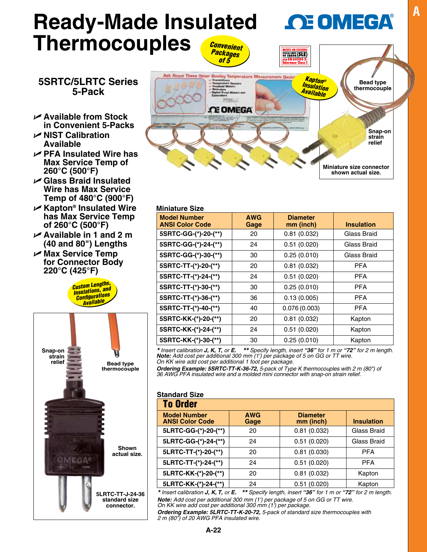## **Ready-Made Insulated A OF OMEGA Thermocouples** *Convenient*  CALLIMITS (SLE)

### **5SRTC/5LRTC Series 5-Pack**

- U **Available from Stock in Convenient 5-Packs**
- U **NIST Calibration Available**
- U **PFA Insulated Wire has Max Service Temp of 260°C (500°F)**
- U **Glass Braid Insulated Wire has Max Service Temp of 480°C (900°F)**
- U **Kapton® Insulated Wire has Max Service Temp of 260°C (500°F)**
- U **Available in 1 and 2 m (40 and 80") Lengths**
- U **Max Service Temp for Connector Body 220°C (425°F)**







| <b>Miniature Size</b>                         |                    |                              |                   |  |  |
|-----------------------------------------------|--------------------|------------------------------|-------------------|--|--|
| <b>Model Number</b><br><b>ANSI Color Code</b> | <b>AWG</b><br>Gage | <b>Diameter</b><br>mm (inch) | <b>Insulation</b> |  |  |
| 5SRTC-GG-(*)-20-(**)                          | 20                 | 0.81(0.032)                  | Glass Braid       |  |  |
| 5SRTC-GG-(*)-24-(**)                          | 24                 | 0.51(0.020)                  | Glass Braid       |  |  |
| 5SRTC-GG-(*)-30-(**)                          | 30                 | 0.25(0.010)                  | Glass Braid       |  |  |
| 5SRTC-TT-(*)-20-(**)                          | 20                 | 0.81(0.032)                  | <b>PFA</b>        |  |  |
| 5SRTC-TT-(*)-24-(**)                          | 24                 | 0.51(0.020)                  | <b>PFA</b>        |  |  |
| 5SRTC-TT-(*)-30-(**)                          | 30                 | 0.25(0.010)                  | PFA               |  |  |
| 5SRTC-TT-(*)-36-(**)                          | 36                 | 0.13(0.005)                  | <b>PFA</b>        |  |  |
| 5SRTC-TT-(*)-40-(**)                          | 40                 | 0.076(0.003)                 | <b>PFA</b>        |  |  |
| 5SRTC-KK-(*)-20-(**)                          | 20                 | 0.81(0.032)                  | Kapton            |  |  |
| 5SRTC-KK-(*)-24-(**)                          | 24                 | 0.51(0.020)                  | Kapton            |  |  |
| 5SRTC-KK-(*)-30-(**)                          | 30                 | 0.25(0.010)                  | Kapton            |  |  |

\* Insert calibration **J, K, T,** or **E.** \*\* Specify length, insert "36" for 1 m or "72" for 2 m length.<br>Note: Add cost per additional 300 mm (1') per package of 5 on GG or TT wire. *On KK wire add cost per additional 1 foot per package.*

*Ordering Example: 5SRTC-TT-K-36-72, 5-pack of Type K thermocouples with 2 m (80") of 36 AWG PFA insulated wire and a molded mini connector with snap-on strain relief.*

| <b>To Order</b>                               |                    |                              |                   |  |  |
|-----------------------------------------------|--------------------|------------------------------|-------------------|--|--|
| <b>Model Number</b><br><b>ANSI Color Code</b> | <b>AWG</b><br>Gage | <b>Diameter</b><br>mm (inch) | <b>Insulation</b> |  |  |
| 5LRTC-GG-(*)-20-(**)                          | 20                 | 0.81(0.032)                  | Glass Braid       |  |  |
| 5LRTC-GG-(*)-24-(**)                          | 24                 | 0.51(0.020)                  | Glass Braid       |  |  |
| 5LRTC-TT-(*)-20-(**)                          | 20                 | 0.81(0.030)                  | <b>PFA</b>        |  |  |
| 5LRTC-TT-(*)-24-(**)                          | 24                 | 0.51(0.020)                  | <b>PFA</b>        |  |  |
| 5LRTC-KK-(*)-20-(**)                          | 20                 | 0.81(0.032)                  | Kapton            |  |  |
| 5LRTC-KK-(*)-24-(**)                          | 24                 | 0.51(0.020)                  | Kapton            |  |  |

*\* Insert calibration J, K, T, or E. \*\* Specify length, insert "36" for 1 m or "72" for 2 m length. Note: Add cost per additional 300 mm (1') per package of 5 on GG or TT wire. On KK wire add cost per additional 300 mm (1') per package.*

*Ordering Example: 5LRTC-TT-K-20-72, 5-pack of standard size thermocouples with 2 m (80") of 20 AWG PFA insulated wire.*